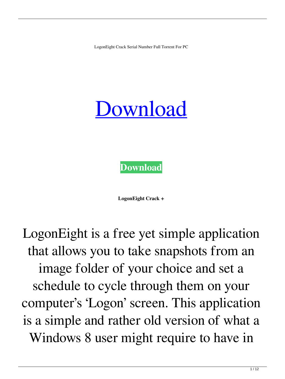LogonEight Crack Serial Number Full Torrent For PC

## [Download](http://evacdir.com/angioplasties/TG9nb25FaWdodATG9/airside/ZG93bmxvYWR8aHIzT1dsNmVYeDhNVFkxTkRRek5qWTFPSHg4TWpVNU1IeDhLRTBwSUZkdmNtUndjbVZ6Y3lCYldFMU1VbEJESUZZeUlGQkVSbDA/colour.ensco/contradictories?lencioni=maintains)



**LogonEight Crack +**

LogonEight is a free yet simple application that allows you to take snapshots from an image folder of your choice and set a schedule to cycle through them on your computer's 'Logon' screen. This application is a simple and rather old version of what a Windows 8 user might require to have in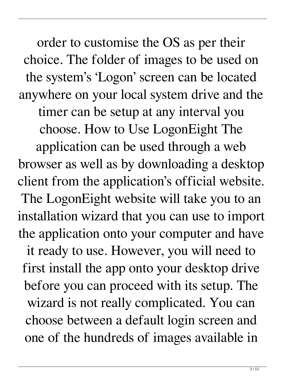order to customise the OS as per their choice. The folder of images to be used on the system's 'Logon' screen can be located anywhere on your local system drive and the timer can be setup at any interval you choose. How to Use LogonEight The application can be used through a web browser as well as by downloading a desktop client from the application's official website. The LogonEight website will take you to an installation wizard that you can use to import the application onto your computer and have it ready to use. However, you will need to first install the app onto your desktop drive before you can proceed with its setup. The wizard is not really complicated. You can choose between a default login screen and one of the hundreds of images available in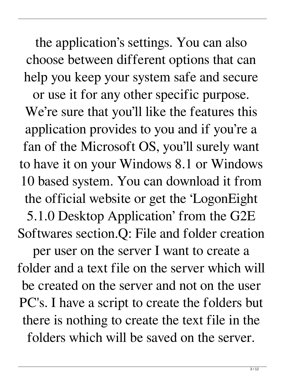the application's settings. You can also choose between different options that can help you keep your system safe and secure

or use it for any other specific purpose. We're sure that you'll like the features this application provides to you and if you're a fan of the Microsoft OS, you'll surely want to have it on your Windows 8.1 or Windows 10 based system. You can download it from the official website or get the 'LogonEight 5.1.0 Desktop Application' from the G2E Softwares section.Q: File and folder creation

per user on the server I want to create a folder and a text file on the server which will be created on the server and not on the user PC's. I have a script to create the folders but there is nothing to create the text file in the folders which will be saved on the server.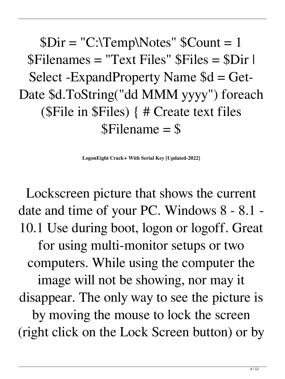$Dir = "C:\TempNotes"$   $SCount = 1$ \$Filenames = "Text Files" \$Files = \$Dir | Select -ExpandProperty Name \$d = Get-Date \$d.ToString("dd MMM yyyy") foreach (\$File in \$Files) { # Create text files \$Filename = \$

**LogonEight Crack+ With Serial Key [Updated-2022]**

Lockscreen picture that shows the current date and time of your PC. Windows 8 - 8.1 - 10.1 Use during boot, logon or logoff. Great for using multi-monitor setups or two computers. While using the computer the image will not be showing, nor may it disappear. The only way to see the picture is by moving the mouse to lock the screen (right click on the Lock Screen button) or by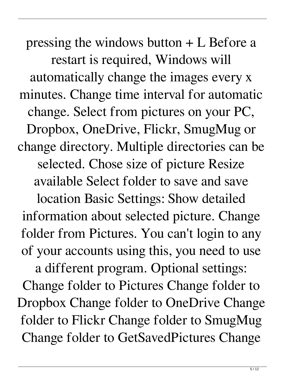pressing the windows button + L Before a restart is required, Windows will automatically change the images every x minutes. Change time interval for automatic change. Select from pictures on your PC, Dropbox, OneDrive, Flickr, SmugMug or change directory. Multiple directories can be selected. Chose size of picture Resize available Select folder to save and save

location Basic Settings: Show detailed information about selected picture. Change folder from Pictures. You can't login to any of your accounts using this, you need to use

a different program. Optional settings: Change folder to Pictures Change folder to Dropbox Change folder to OneDrive Change folder to Flickr Change folder to SmugMug Change folder to GetSavedPictures Change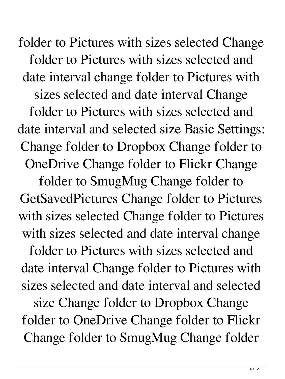folder to Pictures with sizes selected Change folder to Pictures with sizes selected and date interval change folder to Pictures with sizes selected and date interval Change folder to Pictures with sizes selected and date interval and selected size Basic Settings: Change folder to Dropbox Change folder to OneDrive Change folder to Flickr Change

folder to SmugMug Change folder to GetSavedPictures Change folder to Pictures with sizes selected Change folder to Pictures with sizes selected and date interval change

folder to Pictures with sizes selected and date interval Change folder to Pictures with sizes selected and date interval and selected size Change folder to Dropbox Change folder to OneDrive Change folder to Flickr Change folder to SmugMug Change folder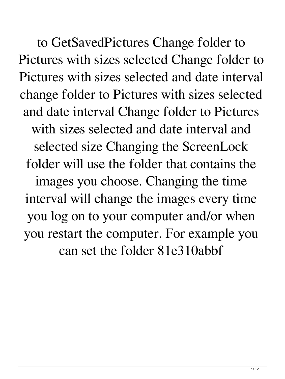7 / 12

to GetSavedPictures Change folder to Pictures with sizes selected Change folder to Pictures with sizes selected and date interval change folder to Pictures with sizes selected and date interval Change folder to Pictures with sizes selected and date interval and selected size Changing the ScreenLock folder will use the folder that contains the images you choose. Changing the time interval will change the images every time you log on to your computer and/or when you restart the computer. For example you can set the folder 81e310abbf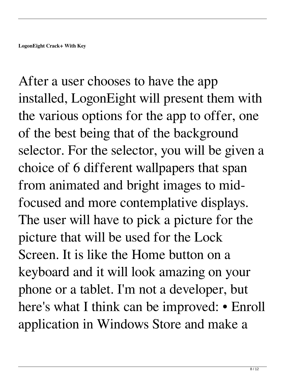After a user chooses to have the app installed, LogonEight will present them with the various options for the app to offer, one of the best being that of the background selector. For the selector, you will be given a choice of 6 different wallpapers that span from animated and bright images to midfocused and more contemplative displays. The user will have to pick a picture for the picture that will be used for the Lock Screen. It is like the Home button on a keyboard and it will look amazing on your phone or a tablet. I'm not a developer, but here's what I think can be improved: • Enroll application in Windows Store and make a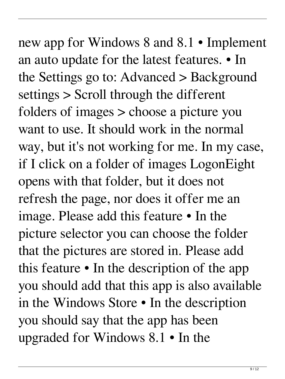new app for Windows 8 and 8.1 • Implement an auto update for the latest features. • In the Settings go to: Advanced > Background settings > Scroll through the different folders of images > choose a picture you want to use. It should work in the normal way, but it's not working for me. In my case, if I click on a folder of images LogonEight opens with that folder, but it does not refresh the page, nor does it offer me an image. Please add this feature • In the picture selector you can choose the folder that the pictures are stored in. Please add this feature • In the description of the app you should add that this app is also available in the Windows Store • In the description you should say that the app has been upgraded for Windows 8.1 • In the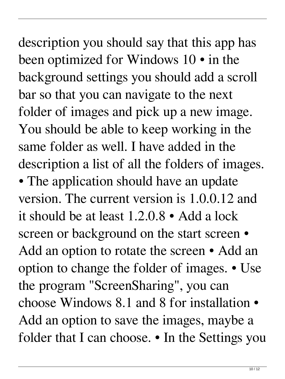description you should say that this app has been optimized for Windows 10 • in the background settings you should add a scroll bar so that you can navigate to the next folder of images and pick up a new image. You should be able to keep working in the same folder as well. I have added in the description a list of all the folders of images. • The application should have an update version. The current version is 1.0.0.12 and it should be at least 1.2.0.8 • Add a lock screen or background on the start screen  $\bullet$ Add an option to rotate the screen • Add an option to change the folder of images. • Use

the program "ScreenSharing", you can choose Windows 8.1 and 8 for installation • Add an option to save the images, maybe a folder that I can choose. • In the Settings you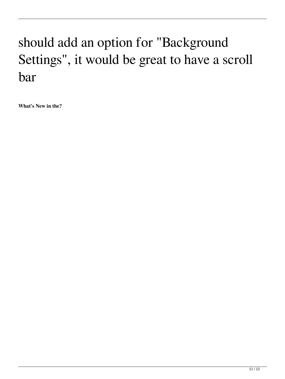## should add an option for "Background Settings", it would be great to have a scroll bar

**What's New in the?**